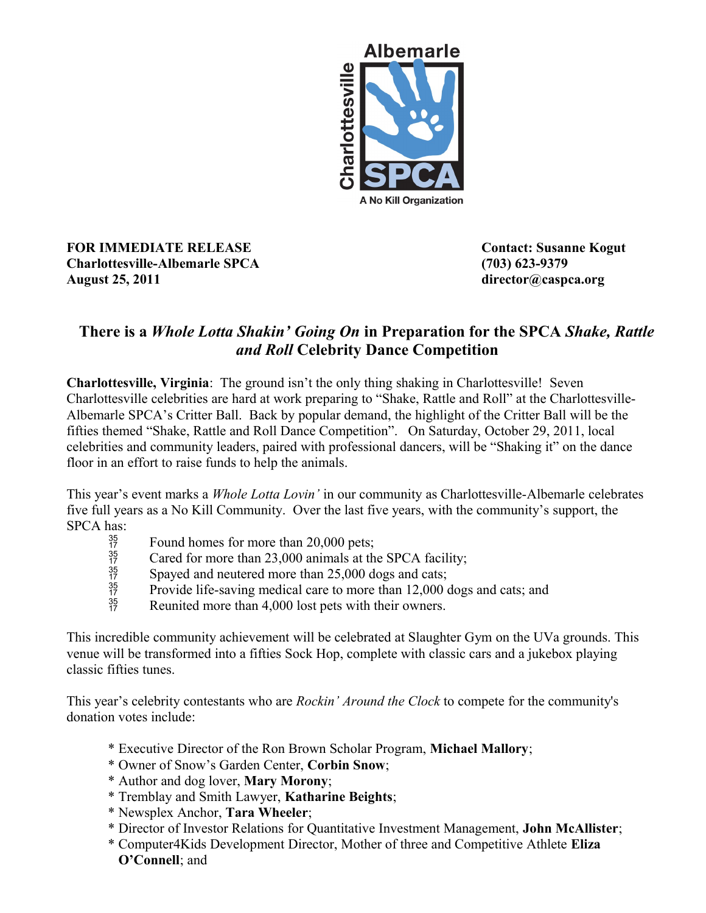

**FOR IMMEDIATE RELEASE Contact: Susanne Kogut Charlottesville-Albemarle SPCA (703) 623-9379 August 25, 2011 director@caspca.org**

## **There is a** *Whole Lotta Shakin' Going On* **in Preparation for the SPCA** *Shake, Rattle and Roll* **Celebrity Dance Competition**

**Charlottesville, Virginia**: The ground isn't the only thing shaking in Charlottesville! Seven Charlottesville celebrities are hard at work preparing to "Shake, Rattle and Roll" at the Charlottesville-Albemarle SPCA's Critter Ball. Back by popular demand, the highlight of the Critter Ball will be the fifties themed "Shake, Rattle and Roll Dance Competition". On Saturday, October 29, 2011, local celebrities and community leaders, paired with professional dancers, will be "Shaking it" on the dance floor in an effort to raise funds to help the animals.

This year's event marks a *Whole Lotta Lovin'* in our community as Charlottesville-Albemarle celebrates five full years as a No Kill Community. Over the last five years, with the community's support, the SPCA has:<br> $rac{35}{17}$ 

- 
- Found homes for more than 20,000 pets;<br>  $^{35}_{17}$  Cared for more than 23,000 animals at th<br>
Spayed and neutered more than 25,000 d<br>
Provide life-saving medical care to more<br>
Reunited more than 4.000 lost nets with t Cared for more than 23,000 animals at the SPCA facility;
- Spayed and neutered more than 25,000 dogs and cats;
- Provide life-saving medical care to more than 12,000 dogs and cats; and
- Reunited more than 4,000 lost pets with their owners.

This incredible community achievement will be celebrated at Slaughter Gym on the UVa grounds. This venue will be transformed into a fifties Sock Hop, complete with classic cars and a jukebox playing classic fifties tunes.

This year's celebrity contestants who are *Rockin' Around the Clock* to compete for the community's donation votes include:

- \* Executive Director of the Ron Brown Scholar Program, **Michael Mallory**;
- \* Owner of Snow's Garden Center, **Corbin Snow**;
- \* Author and dog lover, **Mary Morony**;
- \* Tremblay and Smith Lawyer, **Katharine Beights**;
- \* Newsplex Anchor, **Tara Wheeler**;
- \* Director of Investor Relations for Quantitative Investment Management, **John McAllister**;
- \* Computer4Kids Development Director, Mother of three and Competitive Athlete **Eliza O'Connell**; and